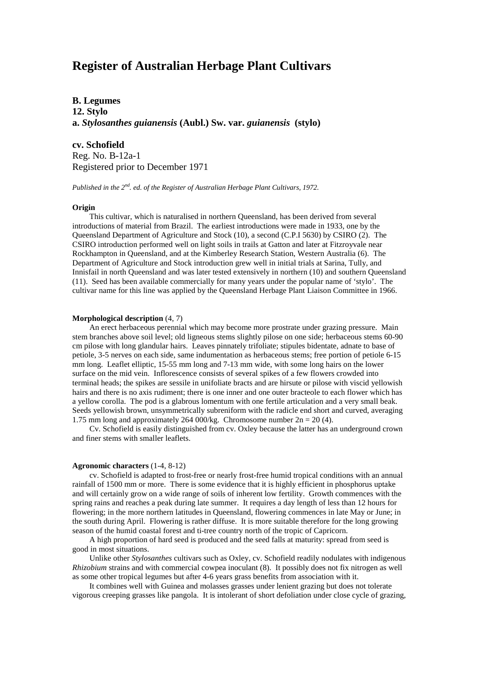# **Register of Australian Herbage Plant Cultivars**

# **B. Legumes**

**12. Stylo a.** *Stylosanthes guianensis* **(Aubl.) Sw. var.** *guianensis* **(stylo)**

## **cv. Schofield**

Reg. No. B-12a-1 Registered prior to December 1971

*Published in the 2nd. ed. of the Register of Australian Herbage Plant Cultivars, 1972.*

## **Origin**

This cultivar, which is naturalised in northern Queensland, has been derived from several introductions of material from Brazil. The earliest introductions were made in 1933, one by the Queensland Department of Agriculture and Stock (10), a second (C.P.I 5630) by CSIRO (2). The CSIRO introduction performed well on light soils in trails at Gatton and later at Fitzroyvale near Rockhampton in Queensland, and at the Kimberley Research Station, Western Australia (6). The Department of Agriculture and Stock introduction grew well in initial trials at Sarina, Tully, and Innisfail in north Queensland and was later tested extensively in northern (10) and southern Queensland (11). Seed has been available commercially for many years under the popular name of 'stylo'. The cultivar name for this line was applied by the Queensland Herbage Plant Liaison Committee in 1966.

#### **Morphological description** (4, 7)

An erect herbaceous perennial which may become more prostrate under grazing pressure. Main stem branches above soil level; old ligneous stems slightly pilose on one side; herbaceous stems 60-90 cm pilose with long glandular hairs. Leaves pinnately trifoliate; stipules bidentate, adnate to base of petiole, 3-5 nerves on each side, same indumentation as herbaceous stems; free portion of petiole 6-15 mm long. Leaflet elliptic, 15-55 mm long and 7-13 mm wide, with some long hairs on the lower surface on the mid vein. Inflorescence consists of several spikes of a few flowers crowded into terminal heads; the spikes are sessile in unifoliate bracts and are hirsute or pilose with viscid yellowish hairs and there is no axis rudiment; there is one inner and one outer bracteole to each flower which has a yellow corolla. The pod is a glabrous lomentum with one fertile articulation and a very small beak. Seeds yellowish brown, unsymmetrically subreniform with the radicle end short and curved, averaging 1.75 mm long and approximately 264 000/kg. Chromosome number  $2n = 20 (4)$ .

Cv. Schofield is easily distinguished from cv. Oxley because the latter has an underground crown and finer stems with smaller leaflets.

#### **Agronomic characters** (1-4, 8-12)

cv. Schofield is adapted to frost-free or nearly frost-free humid tropical conditions with an annual rainfall of 1500 mm or more. There is some evidence that it is highly efficient in phosphorus uptake and will certainly grow on a wide range of soils of inherent low fertility. Growth commences with the spring rains and reaches a peak during late summer. It requires a day length of less than 12 hours for flowering; in the more northern latitudes in Queensland, flowering commences in late May or June; in the south during April. Flowering is rather diffuse. It is more suitable therefore for the long growing season of the humid coastal forest and ti-tree country north of the tropic of Capricorn.

A high proportion of hard seed is produced and the seed falls at maturity: spread from seed is good in most situations.

Unlike other *Stylosanthes* cultivars such as Oxley, cv. Schofield readily nodulates with indigenous *Rhizobium* strains and with commercial cowpea inoculant (8). It possibly does not fix nitrogen as well as some other tropical legumes but after 4-6 years grass benefits from association with it.

It combines well with Guinea and molasses grasses under lenient grazing but does not tolerate vigorous creeping grasses like pangola. It is intolerant of short defoliation under close cycle of grazing,